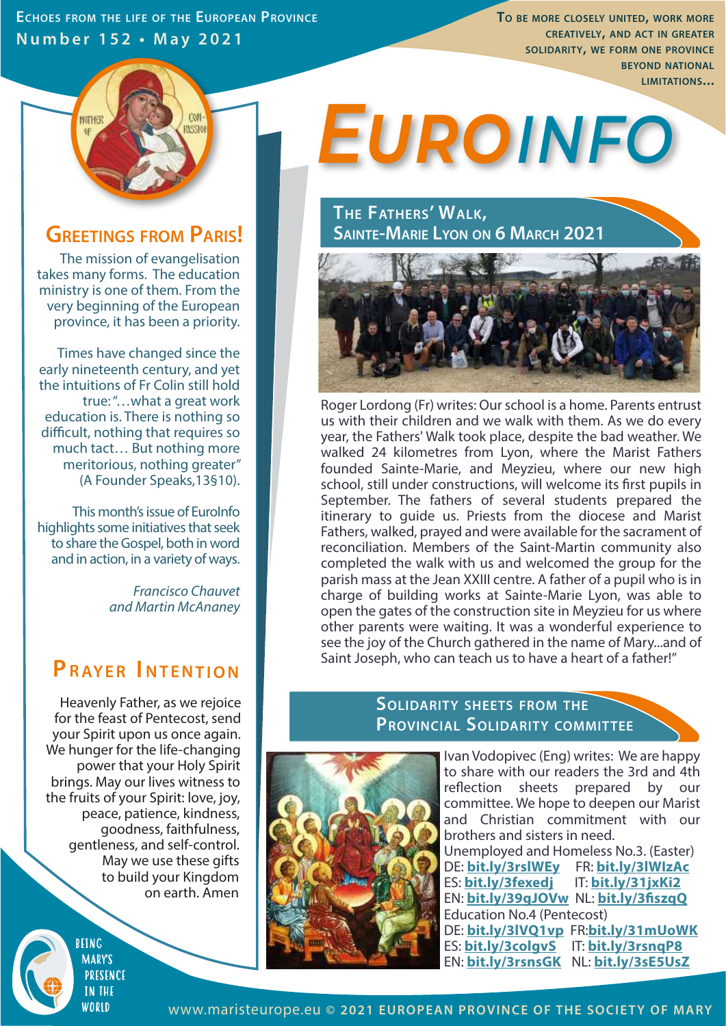**ECHOES FROM THE LIFE OF THE EUROPEAN PROVINCE Number 152 • May 2021**

**TO BE MORE CLOSELY UNITED, WORK MORE CREATIVELY, AND ACT IN GREATER SOLIDARITY, WE FORM ONE PROVINCE BEYOND NATIONAL LIMITATIONS...** 



### **GREETINGS FROM PARIS!**

The mission of evangelisation takes many forms. The education ministry is one of them. From the very beginning of the European province, it has been a priority.

Times have changed since the early nineteenth century, and yet the intuitions of Fr Colin still hold true: "…what a great work education is. There is nothing so difficult, nothing that requires so much tact… But nothing more meritorious, nothing greater" (A Founder Speaks,13§10).

This month's issue of EuroInfo highlights some initiatives that seek to share the Gospel, both in word and in action, in a variety of ways.

> *Francisco Chauvet and Martin McAnaney*

## **P RAYER I NTENTION**

Heavenly Father, as we rejoice for the feast of Pentecost, send your Spirit upon us once again. We hunger for the life-changing power that your Holy Spirit brings. May our lives witness to the fruits of your Spirit: love, joy, peace, patience, kindness, goodness, faithfulness, gentleness, and self-control. May we use these gifts to build your Kingdom on earth. Amen

> REING **MARY'S PRESENCE IN THE** WORID

# *Euroinfo*

**THE FATHERS' WALK, SAINTE-MARIE LYON ON 6 MARCH 2021**



Roger Lordong (Fr) writes: Our school is a home. Parents entrust us with their children and we walk with them. As we do every year, the Fathers' Walk took place, despite the bad weather. We walked 24 kilometres from Lyon, where the Marist Fathers founded Sainte-Marie, and Meyzieu, where our new high school, still under constructions, will welcome its first pupils in September. The fathers of several students prepared the itinerary to guide us. Priests from the diocese and Marist Fathers, walked, prayed and were available for the sacrament of reconciliation. Members of the Saint-Martin community also completed the walk with us and welcomed the group for the parish mass at the Jean XXIII centre. A father of a pupil who is in charge of building works at Sainte-Marie Lyon, was able to open the gates of the construction site in Meyzieu for us where other parents were waiting. It was a wonderful experience to see the joy of the Church gathered in the name of Mary...and of Saint Joseph, who can teach us to have a heart of a father!"

#### **SOLIDARITY SHEETS FROM THE PROVINCIAL SOLIDARITY COMMITTEE**



Ivan Vodopivec (Eng) writes: We are happy to share with our readers the 3rd and 4th reflection sheets prepared by our committee. We hope to deepen our Marist and Christian commitment with our brothers and sisters in need. Unemployed and Homeless No.3. (Easter) DE: **bit.ly/3rslWEy** FR: **bit.ly/3lWIzAc** ES: **bit.ly/3fexedj** IT: **bit.ly/31jxKi2** EN: **bit.ly/39gJOVw** NL: **bit.ly/3szqQ** Education No.4 (Pentecost) DE: **bit.ly/3lVQ1vp** FR:**bit.ly/31mUoWK** ES: **bit.ly/3colgvS** IT: **bit.ly/3rsnqP8** EN: **bit.ly/3rsnsGK** NL: **bit.ly/3sE5UsZ**

www.maristeurope.eu **© 2021 EUROPEAN PROVINCE OF THE SOCIETY OF MARY**